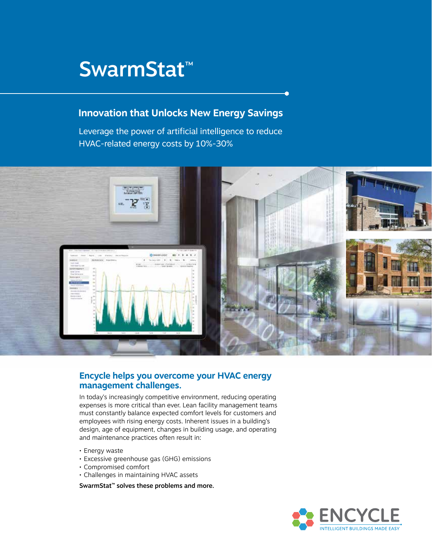# SwarmStat™

## **Innovation that Unlocks New Energy Savings**

Leverage the power of artificial intelligence to reduce HVAC-related energy costs by 10%-30%



## **Encycle helps you overcome your HVAC energy management challenges.**

In today's increasingly competitive environment, reducing operating expenses is more critical than ever. Lean facility management teams must constantly balance expected comfort levels for customers and employees with rising energy costs. Inherent issues in a building's design, age of equipment, changes in building usage, and operating and maintenance practices often result in:

- Energy waste
- Excessive greenhouse gas (GHG) emissions
- Compromised comfort
- Challenges in maintaining HVAC assets

SwarmStat™ solves these problems and more.

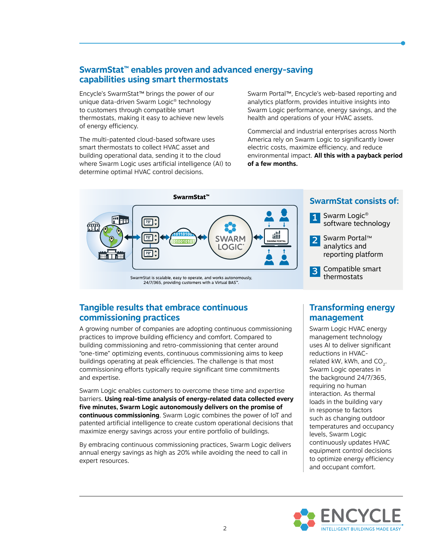### **SwarmStat™ enables proven and advanced energy-saving capabilities using smart thermostats**

Encycle's SwarmStat™ brings the power of our unique data-driven Swarm Logic® technology to customers through compatible smart thermostats, making it easy to achieve new levels of energy efficiency.

The multi-patented cloud-based software uses smart thermostats to collect HVAC asset and building operational data, sending it to the cloud where Swarm Logic uses artificial intelligence (AI) to determine optimal HVAC control decisions.

Swarm Portal™, Encycle's web-based reporting and analytics platform, provides intuitive insights into Swarm Logic performance, energy savings, and the health and operations of your HVAC assets.

Commercial and industrial enterprises across North America rely on Swarm Logic to significantly lower electric costs, maximize efficiency, and reduce environmental impact. **All this with a payback period of a few months.**



## **SwarmStat consists of:**

1 Swarm Logic<sup>®</sup> software technology

2 Swarm Portal™ analytics and reporting platform

3 Compatible smart thermostats

## **Tangible results that embrace continuous commissioning practices**

A growing number of companies are adopting continuous commissioning practices to improve building efficiency and comfort. Compared to building commissioning and retro-commissioning that center around "one-time" optimizing events, continuous commissioning aims to keep buildings operating at peak efficiencies. The challenge is that most commissioning efforts typically require significant time commitments and expertise.

Swarm Logic enables customers to overcome these time and expertise barriers. **Using real-time analysis of energy-related data collected every five minutes, Swarm Logic autonomously delivers on the promise of continuous commissioning**. Swarm Logic combines the power of IoT and patented artificial intelligence to create custom operational decisions that maximize energy savings across your entire portfolio of buildings.

By embracing continuous commissioning practices, Swarm Logic delivers annual energy savings as high as 20% while avoiding the need to call in expert resources.

## **Transforming energy management**

Swarm Logic HVAC energy management technology uses AI to deliver significant reductions in HVACrelated kW, kWh, and  $CO<sub>2</sub>$ . Swarm Logic operates in the background 24/7/365, requiring no human interaction. As thermal loads in the building vary in response to factors such as changing outdoor temperatures and occupancy levels, Swarm Logic continuously updates HVAC equipment control decisions to optimize energy efficiency and occupant comfort.

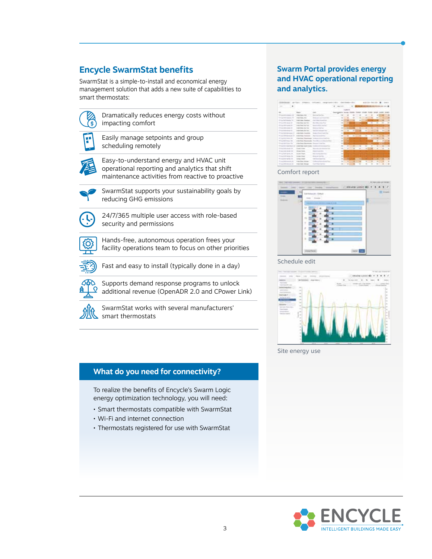## **Encycle SwarmStat benefits**

SwarmStat is a simple-to-install and economical energy management solution that adds a new suite of capabilities to smart thermostats:



 Dramatically reduces energy costs without impacting comfort



**Easily manage setpoints and group** scheduling remotely



 Easy-to-understand energy and HVAC unit operational reporting and analytics that shift maintenance activities from reactive to proactive



 SwarmStat supports your sustainability goals by reducing GHG emissions



 24/7/365 multiple user access with role-based security and permissions



 Hands-free, autonomous operation frees your facility operations team to focus on other priorities



Fast and easy to install (typically done in a day)



 Supports demand response programs to unlock additional revenue (OpenADR 2.0 and CPower Link)



 SwarmStat works with several manufacturers' smart thermostats

#### **What do you need for connectivity?**

To realize the benefits of Encycle's Swarm Logic energy optimization technology, you will need:

- Smart thermostats compatible with SwarmStat
- Wi-Fi and internet connection
- Thermostats registered for use with SwarmStat

#### **Swarm Portal provides energy and HVAC operational reporting and analytics.**

|                                                                                                                                         | <u>In the second company of the company of the company of the company of the company of the company of the company of the company of the company of the company of the company of the company of the company of the company of t</u> |                                                                                                | and several starts   |                |                        |                |          |               |          |  |
|-----------------------------------------------------------------------------------------------------------------------------------------|--------------------------------------------------------------------------------------------------------------------------------------------------------------------------------------------------------------------------------------|------------------------------------------------------------------------------------------------|----------------------|----------------|------------------------|----------------|----------|---------------|----------|--|
| cars.                                                                                                                                   |                                                                                                                                                                                                                                      |                                                                                                | <b>SAVING ATTACK</b> |                | a a                    |                |          |               |          |  |
|                                                                                                                                         | commenced in the process commence in the co-                                                                                                                                                                                         |                                                                                                |                      |                |                        |                |          |               |          |  |
|                                                                                                                                         |                                                                                                                                                                                                                                      |                                                                                                |                      |                |                        | <b>COLAMON</b> |          |               |          |  |
| against transmission blood in the particular of track and com-                                                                          | <b>ATRACTES</b><br>×<br>and the processes are and offered the control and                                                                                                                                                            | comment of the state                                                                           |                      |                |                        |                |          |               |          |  |
| ---                                                                                                                                     | and County, State                                                                                                                                                                                                                    |                                                                                                |                      |                |                        |                |          |               |          |  |
| <b>Southern Title </b>                                                                                                                  | <b>CONTRACTOR</b><br><b>Inter Trace: Terminal</b>                                                                                                                                                                                    |                                                                                                |                      |                |                        | ٠              |          |               |          |  |
|                                                                                                                                         | the charge day of the local                                                                                                                                                                                                          |                                                                                                |                      |                |                        |                | $\equiv$ | $\rightarrow$ |          |  |
| --                                                                                                                                      |                                                                                                                                                                                                                                      |                                                                                                |                      |                |                        |                |          |               |          |  |
|                                                                                                                                         | with County Charles                                                                                                                                                                                                                  | ×                                                                                              |                      |                |                        |                |          |               |          |  |
|                                                                                                                                         |                                                                                                                                                                                                                                      |                                                                                                |                      |                |                        |                |          |               |          |  |
|                                                                                                                                         | <b>Mary Course, Inc.</b>                                                                                                                                                                                                             |                                                                                                |                      |                |                        |                |          |               |          |  |
| --                                                                                                                                      | <b><i><u><u>AAAAA</u> SA</u></i></b>                                                                                                                                                                                                 |                                                                                                |                      | $\rightarrow$  | <b>SILLER</b><br>T     | ٠              |          |               |          |  |
|                                                                                                                                         | ---<br><b>Handbook</b> Him                                                                                                                                                                                                           |                                                                                                |                      |                |                        |                |          |               |          |  |
|                                                                                                                                         | <b>ACCEPTED</b><br>contact Algem, 1944                                                                                                                                                                                               |                                                                                                |                      |                |                        |                |          |               |          |  |
| the property of the company's property and<br>and start from the China                                                                  |                                                                                                                                                                                                                                      |                                                                                                |                      |                |                        |                |          |               |          |  |
| and the same of the company's<br>hands or stand three in all. Joseph Fane, Jack                                                         |                                                                                                                                                                                                                                      |                                                                                                |                      | $\overline{a}$ |                        |                |          |               |          |  |
| and the country that the country funds                                                                                                  |                                                                                                                                                                                                                                      | and the first control of the first series and the control of the control of the control of the |                      |                | <b>All Corporation</b> |                |          | ×<br>ъ.       | ÷<br>19. |  |
| and the department of the second company of the property of<br>The page is state opposite that it<br>THE R. P. LEWIS CO., LANSING MICH. | <b>TRANS DEALE</b>                                                                                                                                                                                                                   | 12000                                                                                          | ×                    |                |                        |                |          |               |          |  |
| Witness Police and Co. 25.<br>- バイアングラション アイランデル                                                                                        | <b>School Street</b>                                                                                                                                                                                                                 |                                                                                                |                      |                |                        |                |          |               |          |  |
| au bitrasa in<br>THE R. P. LEWIS CO., LANSING, MICH.                                                                                    |                                                                                                                                                                                                                                      | and the company of                                                                             |                      |                |                        |                |          |               |          |  |
| ---<br><b>STERN BURGHAM</b>                                                                                                             |                                                                                                                                                                                                                                      | <b>A CARD AND STARTS</b>                                                                       | ÷                    |                |                        |                |          |               |          |  |
| Two determinants all<br><b>CONTRACTOR</b>                                                                                               | contact there the                                                                                                                                                                                                                    | ----------                                                                                     |                      |                |                        |                |          |               |          |  |
| <b>STANDARD COMPANY</b>                                                                                                                 | ---<br><b>CALL CALL A</b>                                                                                                                                                                                                            |                                                                                                |                      |                |                        |                |          |               |          |  |

Comfort report



Schedule edit



Site energy use